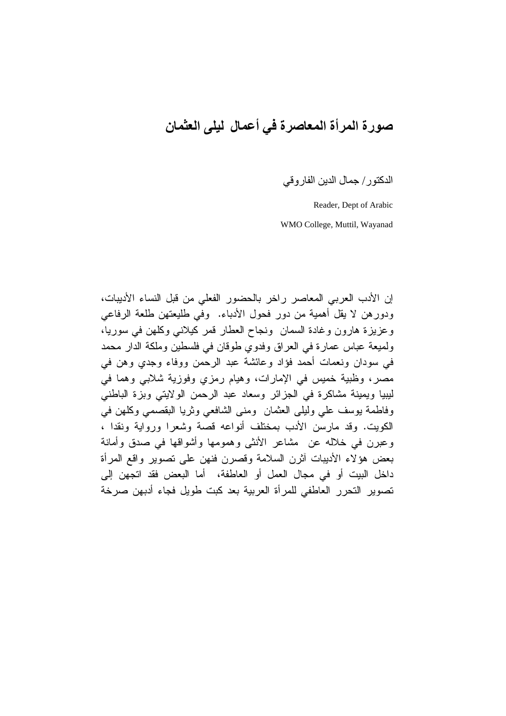## صورة المرأة المعاصرة في أعمال ليلي العثمان

الدكتور / جمال الدين الفار و قي

Reader, Dept of Arabic WMO College, Muttil, Wayanad

إن الأدب العربي المعاصر راخر بالحضور الفعلي من قبل النساء الأديبات، ودورهن لا يقل أهمية من دور فحول الأدباء. وفي طليعتهن طلعة الرفاعي وعزيزة هارون وغادة السمان ونجاح العطار قمر كيلاني وكلهن في سوريا، ولمبعة عباس عمارة في العراق وفدوي طوقان في فلسطين وملكة الدار محمد في سودان ونعمات أحمد فؤاد وعائشة عبد الرحمن ووفاء وجدى وهن في مصر، وظبية خميس في الإمارات، وهيام رمزي وفوزية شلابي وهما في ليبيا ويمينة مشاكرة في الجزائر وسعاد عبد الرحمن الولايتي وبزة الباطني وفاطمة بوسف على وليلي العثمان ومنى الشافعي وثريا البقصمي وكلهن في الكويت. وقد مارسن الأدب بمختلف أنواعه قصبة وشعرا ورواية ونقدا ، وعبرن في خلاله عن مشاعر الأنثـى وهمومها وأشواقها فـى صدق وأمانة بعض هؤلاء الأديبات أثرن السلامة وقصرن فنهن على تصوير واقع المرأة داخل البيت أو في مجال العمل أو العاطفة، أما البعض فقد اتجهن إلى تصوير التحرر العاطفي للمرأة العربية بعد كبت طويل فجاء أدبهن صرخة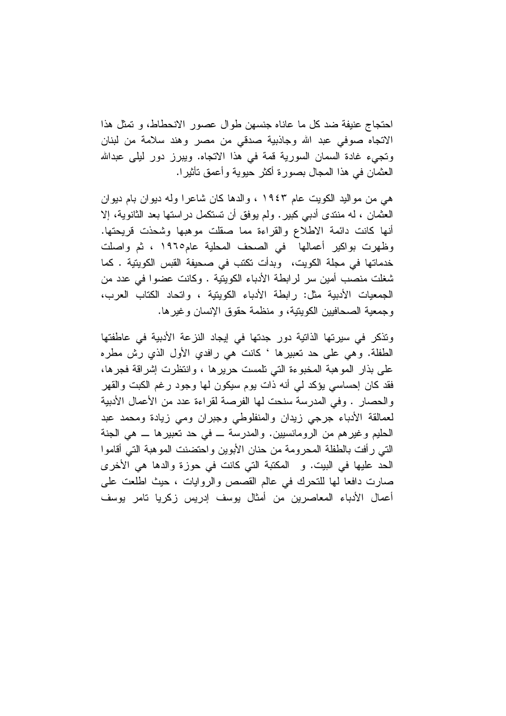احتجاج عنيفة ضد كل ما عاناه جنسهن طوال عصور الانحطاط، و تمثل هذا الاتجاه صوفي عبد الله وجاذبية صدقي من مصر وهند سلامة من لبنان وتجيء غادة السمان السورية قمة في هذا الاتجاه. ويبرز دور ليلي عبدالله العثمان في هذا المجال بصورة أكثر حيوية وأعمق نأثيرا.

هي من مواليد الكويت عام ١٩٤٣ ، والدها كان شاعرا وله ديوان بام ديوان العثمان ، له منتدى أدبى كبير . ولم يوفق أن تستكمل در استها بعد الثانوية، إلا أنها كانت دائمة الاطلاع والقراءة مما صقلت موهبها وشحذت قريحتها. وظهرت بواكير أعمالها في الصحف المحلية عام١٩٦٥ ، ثم واصلت خدماتها في مجلة الكويت، وبدأت تكتب في صحيفة القبس الكويتية . كما شغلت منصب أمين سر لرابطة الأدباء الكويتية . وكانت عضوا في عدد من الجمعيات الأدبية مثل: رابطة الأدباء الكويتية ، واتحاد الكتاب العرب، و جمعية الصحافيين الكوينية، و منظمة حقوق الانسان و غير ها.

وتذكر في سيرتها الذاتية دور جدتها في إيجاد النزعة الأدبية في عاطفتها الطَّفلة. وهي علي حد تعبيرها ' كانت هي رافدي الأول الذي رش مطره على بذار الموهبة المخبوءة التي تلمست حريرها ، وانتظرت إشراقة فجرها، فقد كان إحساسي يؤكد لي أنه ذات يوم سيكون لمها وجود رغم الكبت والقهر والحصار . وفي المدرسة سنحت لها الفرصة لقراءة عدد من الأعمال الأدبية لعمالقة الأدباء جرجى زيدان والمنفلوطي وجبران ومى زيادة ومحمد عبد الْحَلْيِمِ وغيرِهِم من الرومانسيين. والمدرسة \_ في حد تعبيرِها \_ هي الجنة التي رأفت بالطفلة المحرومة من حنان الأبوين واحتضنت الموهبة التي أقاموا الحد عليها في البيت. و المكتبة التي كانت في حوزة والدها هي الأخرى صارت دافعا لها للتحرك في عالم القصص والروايات ، حيث اطلعت على أعمال الأدباء المعاصرين من أمثال يوسف إدريس زكريا تامر يوسف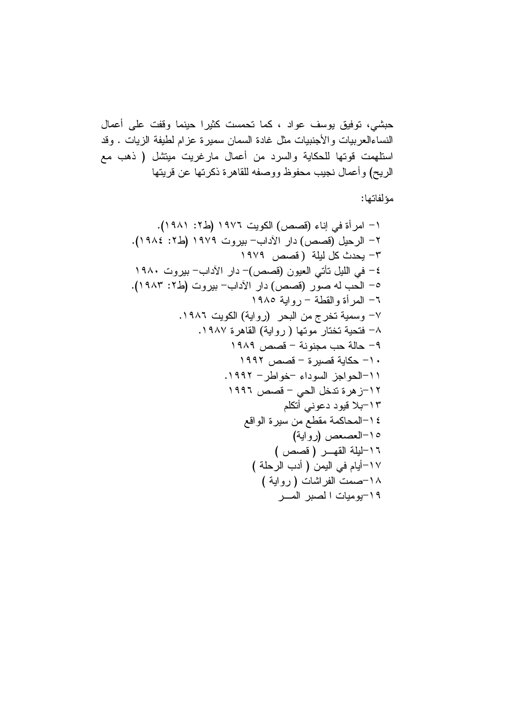مؤلفاتها: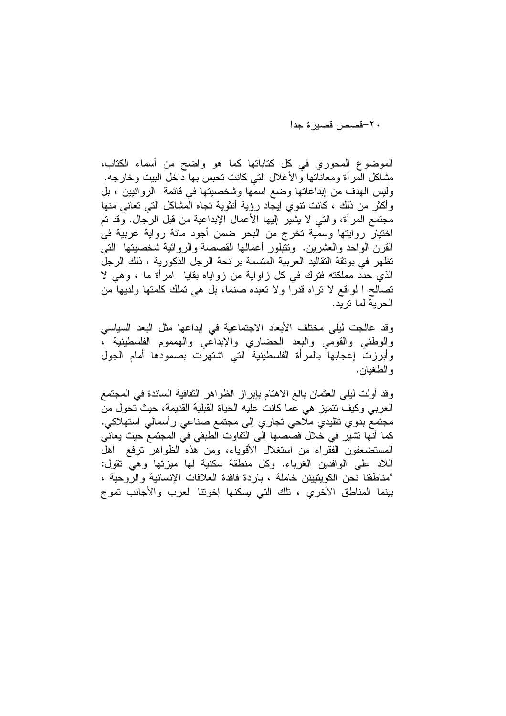٢٠–قصص قصبر ۃ جدا

الموضوع المحوري في كل كتاباتها كما هو واضح من أسماء الكتاب، مشاكل المرأة ومعاناتها والأغلال التي كانت تحبس بها داخل البيت وخارجه. وليس الهدف من إبداعاتها وضع اسمها وشخصيتها في قائمة الروائيين ، بل وأكثر من ذلك ، كانت نتوى إيجاد رؤية أنثوية تجاه المشاكل التي تعانى منها مجتمع المرأة، والتي لا يشير إليها الأعمال الإبداعية من قبل الرجال. وقد تم اختيار روايتها وسمية تخرج من البحر ضمن أجود مائة رواية عربية في القرن الواحد والعشرين. وتتُّبلور أعمالها القصصة والروائية شخصيتها التيُّ تظهر في بونقة النقاليد العربية المتسمة برائحة الرجل الذكورية ، ذلك الرجل الذي حدد مملكته فترك في كل زاواية من زواياه بقايا امرأة ما ، وهي لا تصالح ا لواقع لا نراه قدرًا ولا تعبده صنمًا، بلَّ هي تُملُّك كلَّمتها ولديها من الحرية لما تريد.

وقد عالجت ليلي مختلف الأبعاد الاجتماعية في إبداعها مثل البعد السياسي والوطنبي والقومى والبعد الحضاري والإبداعي والهمموم الفلسطينية ، وأبرزت إعجابها بالمرأة الفلسطينية التي اشتهرت بصمودها أمام الجول و الطغيان.

وقد أولت ليلَّى العثمان بالـغ الاهتام بـإبراز الظواهر الثقافية السائدة فـي المـجتمـع العربي وكيف نتميز هي عما كانت عليه الحياة القبلية القديمة، حيث تحول من مجتمع بدوي نقليدي ملاحي تجاري إلى مجتمع صناعي رأسمالي استهلاكي. كما أنها تشير في خلال قصصها إلى التفاوت الطبقي في المجتمع حيث يعاني المستضعفون الفقراء من استغلال الأقوياء، ومن هذه الظواهر ترفع أهل اللاد على الوافدين الغرباء. وكل منطقة سكنية لمها ميزنها وهي نقول: 'مناطقنا نحن الكويتيينن خاملة ، باردة فاقدة العلاقات الإنسانية والروحية ، بينما المناطق الأخرى ، تلك التي يسكنها إخوننا العرب والأجانب تموج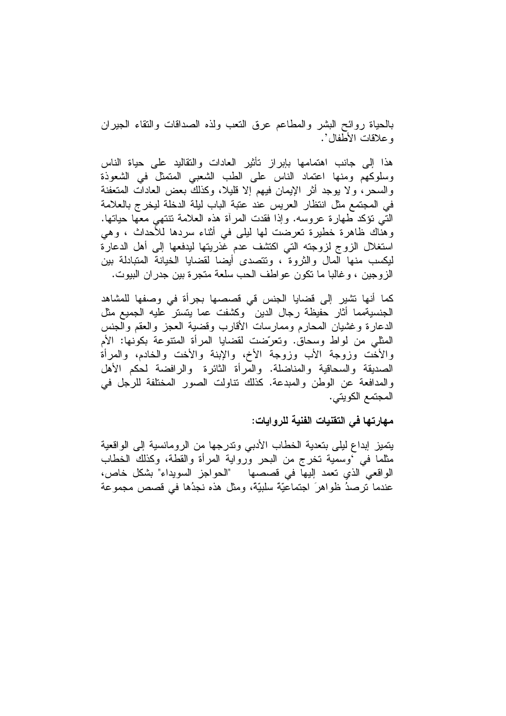بالحياة روائح البشر والمطاعم عرق النعب ولذه الصداقات والنقاء الجيران وعلاقات الأطفال'.

هذا إلى جانب اهتمامها بإبراز نأثير العادات والنقاليد على حياة الناس وسلوكهم ومنها اعتماد الناس على الطب الشعبي المتمثل في الشعوذة والسحر ، ولا يوجد أثر الإيمان فيهم إلا قليلا، وكذلك بعض العادات المتعفنة في المجتمع مثل انتظار العريس عند عتبة الباب ليلة الدخلة ليخرج بالعلامة التَّبِي نؤكد طَّهارة عروسه. وإذا فقدت المرأة هذه العلامة تتتَّهي معها حياتها. وهناك ظاهرة خطيرة تعرضت لها ليلي في أثناء سردها للأحداث ، وهي استغلال الزوج لزوجته التبي اكتشف عدم غذريتها ليدفعها إلىي أهل الدعارة ليكسب منها المال والثروة ، وتتصدى أيضا لقضايا الخيانة المتبادلة بين الزوجين ، وغالبا ما نكون عواطف الحب سلعة متجرة بين جدران البيوت.

كما أنها نشير إلى قضايا الجنس قى قصصها بجرأة فى وصفها للمشاهد الجنسيةمما أثار حفيظة رجال الدين وكشفت عما يتستر عليه الجميع مثل الدعارة وغشيان المحارم وممارسات الأقارب وقضية العجز والعقم والجنس المثلَّى من لواط وسحاق. وتعرَّضت لقضايا المرأة المتنوعة بكونها: الأم والأخت وزوجة الأب وزوجة الأخ، والإبنة والأخت والخادم، والمرأة الصديقة والسحاقية والمناضلة. والمرأة الثائرة والرافضة لحكم الأهل والمدافعة عن الوطن والمبدعة. كذلك نتاولت الصور المختلفة للرجل في المجتمع الكويتي.

## مهارتها في التقنيات الفنية للروايات:

يتميز إبداع ليلي بتعدية الخطاب الأدبى وتدرجها من الرومانسية إلى الواقعية مثلما في 'وسمية تخرج من البحر ورواية المرأة والقطة، وكذلك الخطاب الواقعي الذي تعمد إليها في قصصها "الحواجز السويداء" بشكل خاص، عندما ترصدُ ظواهرَ اجتماعيَّةَ سلبيَّةً، ومثل هذه نجدُها في قصص مجموعة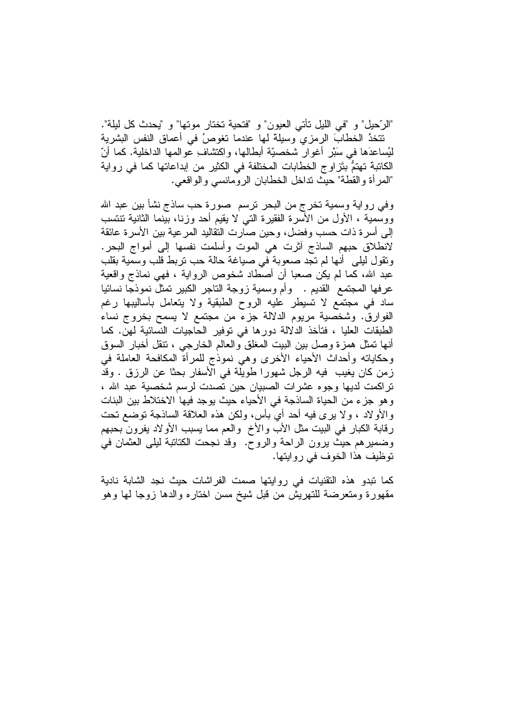"الرَّحيل" و "في اللَّيل تأتي العيون" و "فتحية تختار موتها" و "يحدث كل ليلة". تتخذُ الخطابَ الرمزي وسيلةً لها عندما تغوصُ في أعماق النفس البشرية ليُساعدَها في سَبْرٍ أغوارٍ شخصيّة أبطالها، واكتشافٍ عوالمها الداخلية. كما أنّ الكاتبة تهتمٌّ بتَزاوج الخطابات المختلفة في الكثير من إبداعاتها كما في رواية "المرأة والقطة" حيث نداخل الخطابان الرومانسي والواقعي.

وفي رواية وسمية تخرج من البحر نرسم ۖ صورة حب ساذج نشأ بين عبد الله ووسمية ، الأول من الأسرة الفقيرة التبي لا يقيم أحد وزنا، بينما الثانية تنتسب إلى أسرة ذات حسب وفضل، وحين صارت النقاليد المرعية بين الأسرة عائقة لانطلاق حبهم الساذج أثرت هي الموت وأسلمت نفسها إلىي أمواج البحر. ونقول ليلي أنها لم نجد صعوبة في صياغة حالة حب نربط قلب وسمّية بقلب عبد الله، كما لم يكن صعبا أن أصطاد شخوص الرواية ، فهي نماذج واقعية عرفها المجتمع القديم . وأم وسمية زوجة التاجر الكبير تمثل نموذجًا نسائيا ساد في مجتمع لا تسيطر عليه الروح الطبقية ولا يتعامل بأساليبها رغم الفوارق. وشخصية مريوم الدلالة جزء من مجتمع لا يسمح بخروج نساء الطبقات العليا ، فتأخذ الدلالة دورها في توفير الحاجيات النسائية لهن. كما أنها تمثَّل همزة وصلَّ بين البيت المغلَّق والعالم الخارجي ، نتقل أخبار السوق وحكاياته وأحداث الأحياء الأخرى وهي نموذج للمرأة المكافحة العاملة في زمن كان يغيب فيه الرجل شهورا طويلة في الأسفار بحثًا عن الرزق . وقد تراكمت لديها وجوه عشرات الصبيان حين تصدت لرسم شخصية عبد الله ، وهو جزء من الحياة الساذجة في الأحياء حيث يوجد فيها الاختلاط بين البنات والأولاد ، ولا يرى فيه أحد أيَّ بأس، ولكن هذه العلاقة الساذجة نوضع نحت رقابة الكبار في البيت مثل الأب والأخ والعم مما يسبب الأولاد يفرون بحبهم وضميرِهم حيث يرون الراحة والروح. وقد نجحت الكتانبة ليلي العثمان في نوظيف هذا الخوف في روايتها.

كما نبدو هذه التقنيات في روايتها صمت الفراشات حيث نجد الشابة نادية مقهورة ومتعرضة للتهريش من قبل شيخ مسن اختاره والدها زوجا لمها وهو